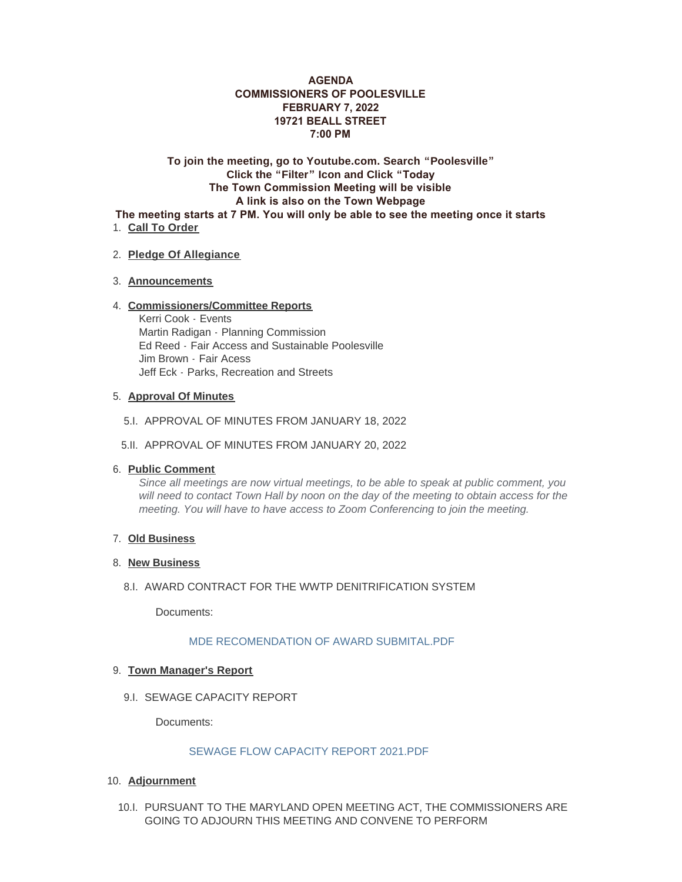# **AGENDA COMMISSIONERS OF POOLESVILLE FEBRUARY 7, 2022 19721 BEALL STREET 7:00 PM**

**To join the meeting, go to Youtube.com. Search "Poolesville" Click the "Filter" Icon and Click "Today The Town Commission Meeting will be visible A link is also on the Town Webpage The meeting starts at 7 PM. You will only be able to see the meeting once it starts** 

1. Call To Order

### **Pledge Of Allegiance** 2.

### **Announcements** 3.

#### **Commissioners/Committee Reports** 4.

Kerri Cook - Events Martin Radigan - Planning Commission Ed Reed - Fair Access and Sustainable Poolesville Jim Brown - Fair Acess Jeff Eck - Parks, Recreation and Streets

### **Approval Of Minutes** 5.

- 5.I. APPROVAL OF MINUTES FROM JANUARY 18, 2022
- 5.II. APPROVAL OF MINUTES FROM JANUARY 20, 2022

### **Public Comment** 6.

*Since all meetings are now virtual meetings, to be able to speak at public comment, you will need to contact Town Hall by noon on the day of the meeting to obtain access for the meeting. You will have to have access to Zoom Conferencing to join the meeting.* 

### **Old Business** 7.

#### 8. New Business

8.I. AWARD CONTRACT FOR THE WWTP DENITRIFICATION SYSTEM

Documents:

### [MDE RECOMENDATION OF AWARD SUBMITAL.PDF](https://www.poolesvillemd.gov/AgendaCenter/ViewFile/Item/4069?fileID=6470)

## **Town Manager's Report** 9.

9.I. SEWAGE CAPACITY REPORT

Documents:

### [SEWAGE FLOW CAPACITY REPORT 2021.PDF](https://www.poolesvillemd.gov/AgendaCenter/ViewFile/Item/4070?fileID=6490)

- **Adjournment** 10.
	- 10.I. PURSUANT TO THE MARYLAND OPEN MEETING ACT, THE COMMISSIONERS ARE GOING TO ADJOURN THIS MEETING AND CONVENE TO PERFORM